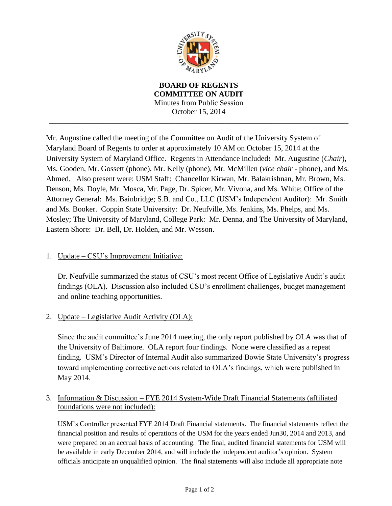

**BOARD OF REGENTS COMMITTEE ON AUDIT** Minutes from Public Session October 15, 2014

\_\_\_\_\_\_\_\_\_\_\_\_\_\_\_\_\_\_\_\_\_\_\_\_\_\_\_\_\_\_\_\_\_\_\_\_\_\_\_\_\_\_\_\_\_\_\_\_\_\_\_\_\_\_\_\_\_\_\_\_\_\_\_\_\_\_\_\_\_\_\_\_\_\_\_\_\_\_

Mr. Augustine called the meeting of the Committee on Audit of the University System of Maryland Board of Regents to order at approximately 10 AM on October 15, 2014 at the University System of Maryland Office. Regents in Attendance included**:** Mr. Augustine (*Chair*), Ms. Gooden, Mr. Gossett (phone), Mr. Kelly (phone), Mr. McMillen (*vice chair* - phone), and Ms. Ahmed. Also present were: USM Staff: Chancellor Kirwan, Mr. Balakrishnan, Mr. Brown, Ms. Denson, Ms. Doyle, Mr. Mosca, Mr. Page, Dr. Spicer, Mr. Vivona, and Ms. White; Office of the Attorney General: Ms. Bainbridge; S.B. and Co., LLC (USM's Independent Auditor): Mr. Smith and Ms. Booker. Coppin State University: Dr. Neufville, Ms. Jenkins, Ms. Phelps, and Ms. Mosley; The University of Maryland, College Park: Mr. Denna, and The University of Maryland, Eastern Shore: Dr. Bell, Dr. Holden, and Mr. Wesson.

## 1. Update – CSU's Improvement Initiative:

Dr. Neufville summarized the status of CSU's most recent Office of Legislative Audit's audit findings (OLA). Discussion also included CSU's enrollment challenges, budget management and online teaching opportunities.

2. Update – Legislative Audit Activity (OLA):

Since the audit committee's June 2014 meeting, the only report published by OLA was that of the University of Baltimore. OLA report four findings. None were classified as a repeat finding. USM's Director of Internal Audit also summarized Bowie State University's progress toward implementing corrective actions related to OLA's findings, which were published in May 2014.

## 3. Information & Discussion – FYE 2014 System-Wide Draft Financial Statements (affiliated foundations were not included):

USM's Controller presented FYE 2014 Draft Financial statements. The financial statements reflect the financial position and results of operations of the USM for the years ended Jun30, 2014 and 2013, and were prepared on an accrual basis of accounting. The final, audited financial statements for USM will be available in early December 2014, and will include the independent auditor's opinion. System officials anticipate an unqualified opinion. The final statements will also include all appropriate note